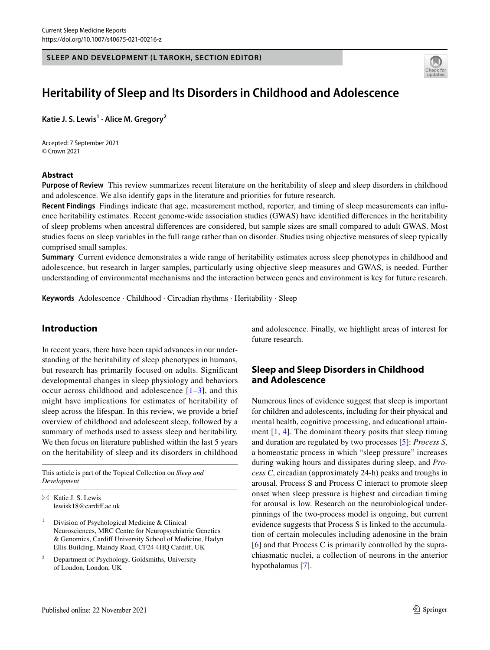### **SLEEP AND DEVELOPMENT (L TAROKH, SECTION EDITOR)**



# **Heritability of Sleep and Its Disorders in Childhood and Adolescence**

**Katie J. S. Lewis1 · Alice M. Gregory<sup>2</sup>**

Accepted: 7 September 2021 © Crown 2021

### **Abstract**

**Purpose of Review** This review summarizes recent literature on the heritability of sleep and sleep disorders in childhood and adolescence. We also identify gaps in the literature and priorities for future research.

**Recent Findings** Findings indicate that age, measurement method, reporter, and timing of sleep measurements can infuence heritability estimates. Recent genome-wide association studies (GWAS) have identifed diferences in the heritability of sleep problems when ancestral diferences are considered, but sample sizes are small compared to adult GWAS. Most studies focus on sleep variables in the full range rather than on disorder. Studies using objective measures of sleep typically comprised small samples.

**Summary** Current evidence demonstrates a wide range of heritability estimates across sleep phenotypes in childhood and adolescence, but research in larger samples, particularly using objective sleep measures and GWAS, is needed. Further understanding of environmental mechanisms and the interaction between genes and environment is key for future research.

**Keywords** Adolescence · Childhood · Circadian rhythms · Heritability · Sleep

# **Introduction**

In recent years, there have been rapid advances in our understanding of the heritability of sleep phenotypes in humans, but research has primarily focused on adults. Signifcant developmental changes in sleep physiology and behaviors occur across childhood and adolescence  $[1-3]$  $[1-3]$  $[1-3]$ , and this might have implications for estimates of heritability of sleep across the lifespan. In this review, we provide a brief overview of childhood and adolescent sleep, followed by a summary of methods used to assess sleep and heritability. We then focus on literature published within the last 5 years on the heritability of sleep and its disorders in childhood

This article is part of the Topical Collection on *Sleep and Development*

 $\boxtimes$  Katie J. S. Lewis lewisk18@cardif.ac.uk

<sup>1</sup> Division of Psychological Medicine & Clinical Neurosciences, MRC Centre for Neuropsychiatric Genetics & Genomics, Cardif University School of Medicine, Hadyn Ellis Building, Maindy Road, CF24 4HQ Cardif, UK

<sup>2</sup> Department of Psychology, Goldsmiths, University of London, London, UK

and adolescence. Finally, we highlight areas of interest for future research.

# **Sleep and Sleep Disorders in Childhood and Adolescence**

Numerous lines of evidence suggest that sleep is important for children and adolescents, including for their physical and mental health, cognitive processing, and educational attainment  $[1, 4]$  $[1, 4]$  $[1, 4]$  $[1, 4]$ . The dominant theory posits that sleep timing and duration are regulated by two processes [[5\]](#page-9-2): *Process S*, a homeostatic process in which "sleep pressure" increases during waking hours and dissipates during sleep, and *Process C*, circadian (approximately 24-h) peaks and troughs in arousal. Process S and Process C interact to promote sleep onset when sleep pressure is highest and circadian timing for arousal is low. Research on the neurobiological underpinnings of the two-process model is ongoing, but current evidence suggests that Process S is linked to the accumulation of certain molecules including adenosine in the brain [[6\]](#page-9-3) and that Process C is primarily controlled by the suprachiasmatic nuclei, a collection of neurons in the anterior hypothalamus [\[7\]](#page-9-4).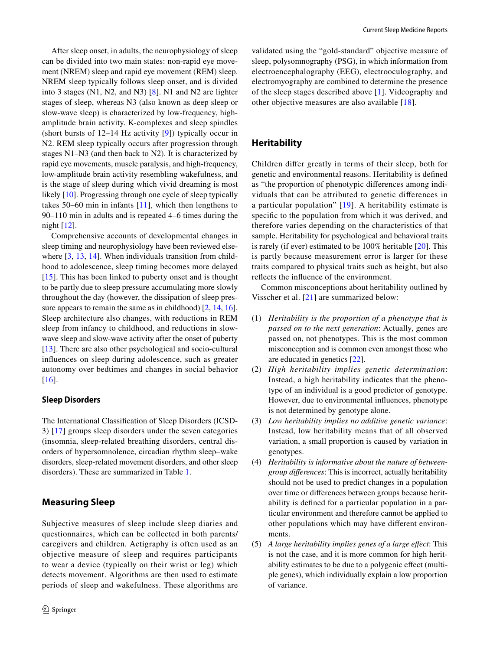After sleep onset, in adults, the neurophysiology of sleep can be divided into two main states: non-rapid eye movement (NREM) sleep and rapid eye movement (REM) sleep. NREM sleep typically follows sleep onset, and is divided into 3 stages (N1, N2, and N3) [[8\]](#page-9-5). N1 and N2 are lighter stages of sleep, whereas N3 (also known as deep sleep or slow-wave sleep) is characterized by low-frequency, highamplitude brain activity. K-complexes and sleep spindles (short bursts of 12–14 Hz activity [\[9\]](#page-9-6)) typically occur in N2. REM sleep typically occurs after progression through stages N1–N3 (and then back to N2). It is characterized by rapid eye movements, muscle paralysis, and high-frequency, low-amplitude brain activity resembling wakefulness, and is the stage of sleep during which vivid dreaming is most likely [\[10](#page-9-7)]. Progressing through one cycle of sleep typically takes 50–60 min in infants [\[11\]](#page-9-8), which then lengthens to 90–110 min in adults and is repeated 4–6 times during the night [[12\]](#page-9-9).

Comprehensive accounts of developmental changes in sleep timing and neurophysiology have been reviewed else-where [[3](#page-9-0), [13,](#page-9-10) [14\]](#page-9-11). When individuals transition from childhood to adolescence, sleep timing becomes more delayed [\[15\]](#page-9-12). This has been linked to puberty onset and is thought to be partly due to sleep pressure accumulating more slowly throughout the day (however, the dissipation of sleep pres-sure appears to remain the same as in childhood) [[2,](#page-9-13) [14,](#page-9-11) [16](#page-9-14)]. Sleep architecture also changes, with reductions in REM sleep from infancy to childhood, and reductions in slowwave sleep and slow-wave activity after the onset of puberty [\[13\]](#page-9-10). There are also other psychological and socio-cultural infuences on sleep during adolescence, such as greater autonomy over bedtimes and changes in social behavior [\[16\]](#page-9-14).

# **Sleep Disorders**

The International Classifcation of Sleep Disorders (ICSD-3) [[17](#page-9-15)] groups sleep disorders under the seven categories (insomnia, sleep-related breathing disorders, central disorders of hypersomnolence, circadian rhythm sleep–wake disorders, sleep-related movement disorders, and other sleep disorders). These are summarized in Table [1](#page-2-0).

# **Measuring Sleep**

Subjective measures of sleep include sleep diaries and questionnaires, which can be collected in both parents/ caregivers and children. Actigraphy is often used as an objective measure of sleep and requires participants to wear a device (typically on their wrist or leg) which detects movement. Algorithms are then used to estimate periods of sleep and wakefulness. These algorithms are validated using the "gold-standard" objective measure of sleep, polysomnography (PSG), in which information from electroencephalography (EEG), electrooculography, and electromyography are combined to determine the presence of the sleep stages described above [[1\]](#page-8-0). Videography and other objective measures are also available [\[18\]](#page-9-16).

# **Heritability**

Children difer greatly in terms of their sleep, both for genetic and environmental reasons. Heritability is defned as "the proportion of phenotypic diferences among individuals that can be attributed to genetic diferences in a particular population" [[19\]](#page-9-17). A heritability estimate is specifc to the population from which it was derived, and therefore varies depending on the characteristics of that sample. Heritability for psychological and behavioral traits is rarely (if ever) estimated to be 100% heritable [[20\]](#page-9-18). This is partly because measurement error is larger for these traits compared to physical traits such as height, but also refects the infuence of the environment.

Common misconceptions about heritability outlined by Visscher et al. [\[21\]](#page-9-19) are summarized below:

- (1) *Heritability is the proportion of a phenotype that is passed on to the next generation*: Actually, genes are passed on, not phenotypes. This is the most common misconception and is common even amongst those who are educated in genetics [[22\]](#page-9-20).
- (2) *High heritability implies genetic determination*: Instead, a high heritability indicates that the phenotype of an individual is a good predictor of genotype. However, due to environmental infuences, phenotype is not determined by genotype alone.
- (3) *Low heritability implies no additive genetic variance*: Instead, low heritability means that of all observed variation, a small proportion is caused by variation in genotypes.
- (4) *Heritability is informative about the nature of betweengroup diferences*: This is incorrect, actually heritability should not be used to predict changes in a population over time or diferences between groups because heritability is defned for a particular population in a particular environment and therefore cannot be applied to other populations which may have diferent environments.
- (5) *A large heritability implies genes of a large efect*: This is not the case, and it is more common for high heritability estimates to be due to a polygenic efect (multiple genes), which individually explain a low proportion of variance.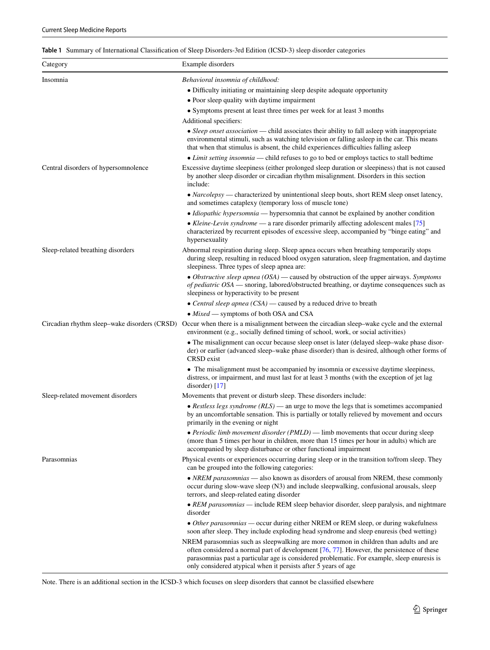<span id="page-2-0"></span>

| Table 1 Summary of International Classification of Sleep Disorders-3rd Edition (ICSD-3) sleep disorder categories |  |
|-------------------------------------------------------------------------------------------------------------------|--|
|-------------------------------------------------------------------------------------------------------------------|--|

| Category                             | Example disorders                                                                                                                                                                                                                                                                                                                                   |
|--------------------------------------|-----------------------------------------------------------------------------------------------------------------------------------------------------------------------------------------------------------------------------------------------------------------------------------------------------------------------------------------------------|
| Insomnia                             | Behavioral insomnia of childhood:                                                                                                                                                                                                                                                                                                                   |
|                                      | • Difficulty initiating or maintaining sleep despite adequate opportunity                                                                                                                                                                                                                                                                           |
|                                      | • Poor sleep quality with daytime impairment                                                                                                                                                                                                                                                                                                        |
|                                      | • Symptoms present at least three times per week for at least 3 months                                                                                                                                                                                                                                                                              |
|                                      | Additional specifiers:                                                                                                                                                                                                                                                                                                                              |
|                                      | • Sleep onset association — child associates their ability to fall asleep with inappropriate<br>environmental stimuli, such as watching television or falling asleep in the car. This means<br>that when that stimulus is absent, the child experiences difficulties falling as leep                                                                |
|                                      |                                                                                                                                                                                                                                                                                                                                                     |
|                                      | • Limit setting insomnia — child refuses to go to bed or employs tactics to stall bedtime<br>Excessive daytime sleepiness (either prolonged sleep duration or sleepiness) that is not caused                                                                                                                                                        |
| Central disorders of hypersomnolence | by another sleep disorder or circadian rhythm misalignment. Disorders in this section<br>include:                                                                                                                                                                                                                                                   |
|                                      | • Narcolepsy — characterized by unintentional sleep bouts, short REM sleep onset latency,<br>and sometimes cataplexy (temporary loss of muscle tone)                                                                                                                                                                                                |
|                                      | • Idiopathic hypersomnia — hypersomnia that cannot be explained by another condition                                                                                                                                                                                                                                                                |
|                                      | • Kleine-Levin syndrome - a rare disorder primarily affecting adolescent males [75]<br>characterized by recurrent episodes of excessive sleep, accompanied by "binge eating" and<br>hypersexuality                                                                                                                                                  |
| Sleep-related breathing disorders    | Abnormal respiration during sleep. Sleep apnea occurs when breathing temporarily stops<br>during sleep, resulting in reduced blood oxygen saturation, sleep fragmentation, and daytime<br>sleepiness. Three types of sleep apnea are:                                                                                                               |
|                                      | • Obstructive sleep apnea (OSA) — caused by obstruction of the upper airways. Symptoms<br>of pediatric OSA — snoring, labored/obstructed breathing, or daytime consequences such as<br>sleepiness or hyperactivity to be present                                                                                                                    |
|                                      | • Central sleep apnea $(CSA)$ — caused by a reduced drive to breath                                                                                                                                                                                                                                                                                 |
|                                      | $\bullet$ Mixed — symptoms of both OSA and CSA                                                                                                                                                                                                                                                                                                      |
|                                      | Circadian rhythm sleep–wake disorders (CRSD) Occur when there is a misalignment between the circadian sleep–wake cycle and the external<br>environment (e.g., socially defined timing of school, work, or social activities)                                                                                                                        |
|                                      | • The misalignment can occur because sleep onset is later (delayed sleep-wake phase disor-<br>der) or earlier (advanced sleep–wake phase disorder) than is desired, although other forms of<br>CRSD exist                                                                                                                                           |
|                                      | • The misalignment must be accompanied by insomnia or excessive daytime sleepiness,<br>distress, or impairment, and must last for at least 3 months (with the exception of jet lag<br>disorder) $[17]$                                                                                                                                              |
| Sleep-related movement disorders     | Movements that prevent or disturb sleep. These disorders include:                                                                                                                                                                                                                                                                                   |
|                                      | • Restless legs syndrome $(RLS)$ — an urge to move the legs that is sometimes accompanied<br>by an uncomfortable sensation. This is partially or totally relieved by movement and occurs<br>primarily in the evening or night                                                                                                                       |
|                                      | • Periodic limb movement disorder (PMLD) — limb movements that occur during sleep<br>(more than 5 times per hour in children, more than 15 times per hour in adults) which are<br>accompanied by sleep disturbance or other functional impairment                                                                                                   |
| Parasomnias                          | Physical events or experiences occurring during sleep or in the transition to/from sleep. They<br>can be grouped into the following categories:                                                                                                                                                                                                     |
|                                      | • NREM parasomnias — also known as disorders of arousal from NREM, these commonly<br>occur during slow-wave sleep (N3) and include sleepwalking, confusional arousals, sleep<br>terrors, and sleep-related eating disorder                                                                                                                          |
|                                      | • REM parasomnias — include REM sleep behavior disorder, sleep paralysis, and nightmare<br>disorder                                                                                                                                                                                                                                                 |
|                                      | • Other parasomnias — occur during either NREM or REM sleep, or during wakefulness<br>soon after sleep. They include exploding head syndrome and sleep enuresis (bed wetting)                                                                                                                                                                       |
|                                      | NREM parasomnias such as sleepwalking are more common in children than adults and are<br>often considered a normal part of development [76, 77]. However, the persistence of these<br>parasomnias past a particular age is considered problematic. For example, sleep enuresis is<br>only considered atypical when it persists after 5 years of age |

Note. There is an additional section in the ICSD-3 which focuses on sleep disorders that cannot be classifed elsewhere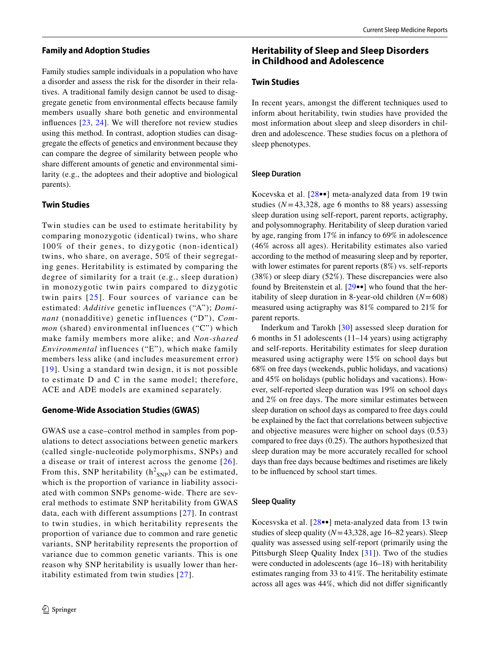### **Family and Adoption Studies**

Family studies sample individuals in a population who have a disorder and assess the risk for the disorder in their relatives. A traditional family design cannot be used to disaggregate genetic from environmental efects because family members usually share both genetic and environmental infuences [[23](#page-9-21), [24\]](#page-9-22). We will therefore not review studies using this method. In contrast, adoption studies can disaggregate the efects of genetics and environment because they can compare the degree of similarity between people who share diferent amounts of genetic and environmental similarity (e.g., the adoptees and their adoptive and biological parents).

### **Twin Studies**

Twin studies can be used to estimate heritability by comparing monozygotic (identical) twins, who share 100% of their genes, to dizygotic (non-identical) twins, who share, on average, 50% of their segregating genes. Heritability is estimated by comparing the degree of similarity for a trait (e.g., sleep duration) in monozygotic twin pairs compared to dizygotic twin pairs [[25](#page-9-23)]. Four sources of variance can be estimated: *Additive* genetic influences ("A"); *Dominant* (nonadditive) genetic influences ("D"), *Common* (shared) environmental influences ("C") which make family members more alike; and *Non-shared Environmental* influences ("E"), which make family members less alike (and includes measurement error) [[19](#page-9-17)]. Using a standard twin design, it is not possible to estimate D and C in the same model; therefore, ACE and ADE models are examined separately.

#### **Genome‑Wide Association Studies (GWAS)**

GWAS use a case–control method in samples from populations to detect associations between genetic markers (called single-nucleotide polymorphisms, SNPs) and a disease or trait of interest across the genome [[26\]](#page-9-24). From this, SNP heritability  $(h^2_{SNP})$  can be estimated, which is the proportion of variance in liability associated with common SNPs genome-wide. There are several methods to estimate SNP heritability from GWAS data, each with different assumptions [[27\]](#page-9-25). In contrast to twin studies, in which heritability represents the proportion of variance due to common and rare genetic variants, SNP heritability represents the proportion of variance due to common genetic variants. This is one reason why SNP heritability is usually lower than heritability estimated from twin studies [\[27](#page-9-25)].

# **Heritability of Sleep and Sleep Disorders in Childhood and Adolescence**

# **Twin Studies**

In recent years, amongst the diferent techniques used to inform about heritability, twin studies have provided the most information about sleep and sleep disorders in children and adolescence. These studies focus on a plethora of sleep phenotypes.

#### **Sleep Duration**

Kocevska et al. [[28](#page-9-26)••] meta-analyzed data from 19 twin studies  $(N=43,328, \text{ age } 6 \text{ months to } 88 \text{ years})$  assessing sleep duration using self-report, parent reports, actigraphy, and polysomnography. Heritability of sleep duration varied by age, ranging from 17% in infancy to 69% in adolescence (46% across all ages). Heritability estimates also varied according to the method of measuring sleep and by reporter, with lower estimates for parent reports (8%) vs. self-reports (38%) or sleep diary (52%). These discrepancies were also found by Breitenstein et al. [[29](#page-9-27)••] who found that the heritability of sleep duration in 8-year-old children (*N*=608) measured using actigraphy was 81% compared to 21% for parent reports.

Inderkum and Tarokh [[30](#page-9-28)] assessed sleep duration for 6 months in 51 adolescents (11–14 years) using actigraphy and self-reports. Heritability estimates for sleep duration measured using actigraphy were 15% on school days but 68% on free days (weekends, public holidays, and vacations) and 45% on holidays (public holidays and vacations). However, self-reported sleep duration was 19% on school days and 2% on free days. The more similar estimates between sleep duration on school days as compared to free days could be explained by the fact that correlations between subjective and objective measures were higher on school days (0.53) compared to free days (0.25). The authors hypothesized that sleep duration may be more accurately recalled for school days than free days because bedtimes and risetimes are likely to be infuenced by school start times.

#### **Sleep Quality**

Kocesvska et al. [[28•](#page-9-26)•] meta-analyzed data from 13 twin studies of sleep quality (*N*=43,328, age 16–82 years). Sleep quality was assessed using self-report (primarily using the Pittsburgh Sleep Quality Index [[31](#page-9-29)]). Two of the studies were conducted in adolescents (age 16–18) with heritability estimates ranging from 33 to 41%. The heritability estimate across all ages was 44%, which did not difer signifcantly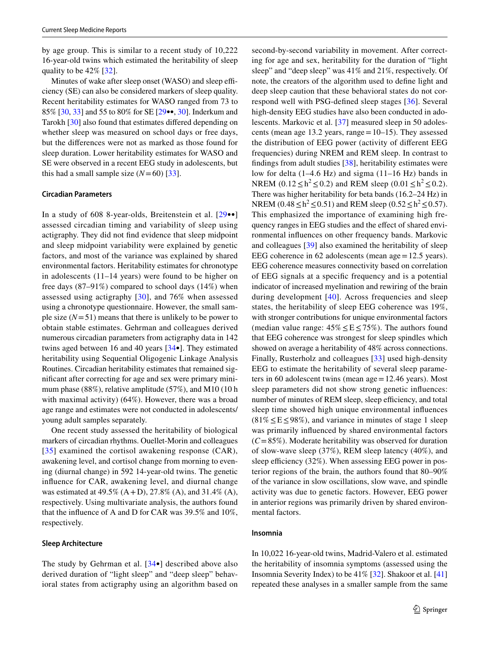by age group. This is similar to a recent study of 10,222 16-year-old twins which estimated the heritability of sleep quality to be 42% [\[32](#page-9-30)].

Minutes of wake after sleep onset (WASO) and sleep efficiency (SE) can also be considered markers of sleep quality. Recent heritability estimates for WASO ranged from 73 to 85% [[30,](#page-9-28) [33](#page-9-31)] and 55 to 80% for SE [[29•](#page-9-27)•, [30\]](#page-9-28). Inderkum and Tarokh [\[30](#page-9-28)] also found that estimates difered depending on whether sleep was measured on school days or free days, but the diferences were not as marked as those found for sleep duration. Lower heritability estimates for WASO and SE were observed in a recent EEG study in adolescents, but this had a small sample size  $(N=60)$  [[33\]](#page-9-31).

#### **Circadian Parameters**

In a study of 608 8-year-olds, Breitenstein et al. [[29•](#page-9-27)•] assessed circadian timing and variability of sleep using actigraphy. They did not fnd evidence that sleep midpoint and sleep midpoint variability were explained by genetic factors, and most of the variance was explained by shared environmental factors. Heritability estimates for chronotype in adolescents (11–14 years) were found to be higher on free days (87–91%) compared to school days (14%) when assessed using actigraphy [[30](#page-9-28)], and 76% when assessed using a chronotype questionnaire. However, the small sample size  $(N=51)$  means that there is unlikely to be power to obtain stable estimates. Gehrman and colleagues derived numerous circadian parameters from actigraphy data in 142 twins aged between 16 and 40 years [[34](#page-9-32)•]. They estimated heritability using Sequential Oligogenic Linkage Analysis Routines. Circadian heritability estimates that remained signifcant after correcting for age and sex were primary minimum phase (88%), relative amplitude (57%), and M10 (10 h with maximal activity) (64%). However, there was a broad age range and estimates were not conducted in adolescents/ young adult samples separately.

One recent study assessed the heritability of biological markers of circadian rhythms. Ouellet-Morin and colleagues [[35](#page-9-33)] examined the cortisol awakening response (CAR), awakening level, and cortisol change from morning to evening (diurnal change) in 592 14-year-old twins. The genetic infuence for CAR, awakening level, and diurnal change was estimated at 49.5% (A+D), 27.8% (A), and 31.4% (A), respectively. Using multivariate analysis, the authors found that the infuence of A and D for CAR was 39.5% and 10%, respectively.

#### **Sleep Architecture**

The study by Gehrman et al. [[34•](#page-9-32)] described above also derived duration of "light sleep" and "deep sleep" behavioral states from actigraphy using an algorithm based on second-by-second variability in movement. After correcting for age and sex, heritability for the duration of "light sleep" and "deep sleep" was 41% and 21%, respectively. Of note, the creators of the algorithm used to defne light and deep sleep caution that these behavioral states do not correspond well with PSG-defned sleep stages [[36\]](#page-9-34). Several high-density EEG studies have also been conducted in adolescents. Markovic et al. [[37\]](#page-9-35) measured sleep in 50 adolescents (mean age 13.2 years, range  $=10-15$ ). They assessed the distribution of EEG power (activity of diferent EEG frequencies) during NREM and REM sleep. In contrast to fndings from adult studies [\[38\]](#page-9-36), heritability estimates were low for delta (1–4.6 Hz) and sigma (11–16 Hz) bands in NREM  $(0.12 \le h^2 \le 0.2)$  and REM sleep  $(0.01 \le h^2 \le 0.2)$ . There was higher heritability for beta bands (16.2–24 Hz) in NREM (0.48 ≤  $h^2$  ≤ 0.51) and REM sleep (0.52 ≤  $h^2$  ≤ 0.57). This emphasized the importance of examining high frequency ranges in EEG studies and the efect of shared environmental infuences on other frequency bands. Markovic and colleagues [\[39](#page-9-37)] also examined the heritability of sleep EEG coherence in 62 adolescents (mean age=12.5 years). EEG coherence measures connectivity based on correlation of EEG signals at a specifc frequency and is a potential indicator of increased myelination and rewiring of the brain during development [[40](#page-10-0)]. Across frequencies and sleep states, the heritability of sleep EEG coherence was 19%, with stronger contributions for unique environmental factors (median value range:  $45\% \leq E \leq 75\%$ ). The authors found that EEG coherence was strongest for sleep spindles which showed on average a heritability of 48% across connections. Finally, Rusterholz and colleagues [[33\]](#page-9-31) used high-density EEG to estimate the heritability of several sleep parameters in 60 adolescent twins (mean age=12.46 years). Most sleep parameters did not show strong genetic infuences: number of minutes of REM sleep, sleep efficiency, and total sleep time showed high unique environmental infuences  $(81\% \leq E \leq 98\%)$ , and variance in minutes of stage 1 sleep was primarily infuenced by shared environmental factors  $(C=85\%)$ . Moderate heritability was observed for duration of slow-wave sleep (37%), REM sleep latency (40%), and sleep efficiency  $(32\%)$ . When assessing EEG power in posterior regions of the brain, the authors found that 80–90% of the variance in slow oscillations, slow wave, and spindle activity was due to genetic factors. However, EEG power in anterior regions was primarily driven by shared environmental factors.

### **Insomnia**

In 10,022 16-year-old twins, Madrid-Valero et al. estimated the heritability of insomnia symptoms (assessed using the Insomnia Severity Index) to be 41% [\[32](#page-9-30)]. Shakoor et al. [[41\]](#page-10-1) repeated these analyses in a smaller sample from the same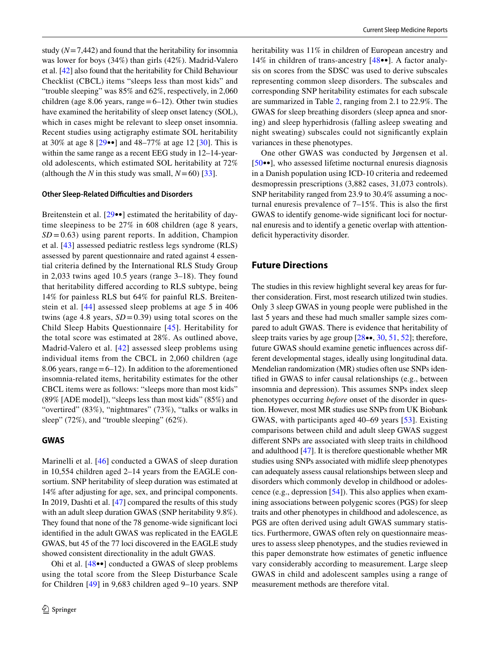study  $(N=7,442)$  and found that the heritability for insomnia was lower for boys (34%) than girls (42%). Madrid-Valero et al. [\[42](#page-10-2)] also found that the heritability for Child Behaviour Checklist (CBCL) items "sleeps less than most kids" and "trouble sleeping" was 85% and 62%, respectively, in 2,060 children (age 8.06 years, range  $=6-12$ ). Other twin studies have examined the heritability of sleep onset latency (SOL), which in cases might be relevant to sleep onset insomnia. Recent studies using actigraphy estimate SOL heritability at 30% at age 8 [\[29](#page-9-27)••] and 48–77% at age 12 [\[30\]](#page-9-28). This is within the same range as a recent EEG study in 12–14-yearold adolescents, which estimated SOL heritability at 72% (although the *N* in this study was small,  $N=60$ ) [\[33](#page-9-31)].

#### **Other Sleep‑Related Difculties and Disorders**

Breitenstein et al. [\[29•](#page-9-27)•] estimated the heritability of daytime sleepiness to be 27% in 608 children (age 8 years,  $SD = 0.63$ ) using parent reports. In addition, Champion et al. [\[43](#page-10-3)] assessed pediatric restless legs syndrome (RLS) assessed by parent questionnaire and rated against 4 essential criteria defned by the International RLS Study Group in 2,033 twins aged 10.5 years (range 3–18). They found that heritability difered according to RLS subtype, being 14% for painless RLS but 64% for painful RLS. Breitenstein et al. [[44\]](#page-10-4) assessed sleep problems at age 5 in 406 twins (age 4.8 years,  $SD = 0.39$ ) using total scores on the Child Sleep Habits Questionnaire [\[45\]](#page-10-5). Heritability for the total score was estimated at 28%. As outlined above, Madrid-Valero et al. [[42\]](#page-10-2) assessed sleep problems using individual items from the CBCL in 2,060 children (age 8.06 years, range  $=6-12$ ). In addition to the aforementioned insomnia-related items, heritability estimates for the other CBCL items were as follows: "sleeps more than most kids" (89% [ADE model]), "sleeps less than most kids" (85%) and "overtired" (83%), "nightmares" (73%), "talks or walks in sleep" (72%), and "trouble sleeping" (62%).

# **GWAS**

Marinelli et al. [[46](#page-10-6)] conducted a GWAS of sleep duration in 10,554 children aged 2–14 years from the EAGLE consortium. SNP heritability of sleep duration was estimated at 14% after adjusting for age, sex, and principal components. In 2019, Dashti et al. [[47\]](#page-10-7) compared the results of this study with an adult sleep duration GWAS (SNP heritability 9.8%). They found that none of the 78 genome-wide signifcant loci identifed in the adult GWAS was replicated in the EAGLE GWAS, but 45 of the 77 loci discovered in the EAGLE study showed consistent directionality in the adult GWAS.

Ohi et al. [[48](#page-10-8)••] conducted a GWAS of sleep problems using the total score from the Sleep Disturbance Scale for Children [[49](#page-10-9)] in 9,683 children aged 9–10 years. SNP heritability was 11% in children of European ancestry and 14% in children of trans-ancestry [\[48•](#page-10-8)•]. A factor analysis on scores from the SDSC was used to derive subscales representing common sleep disorders. The subscales and corresponding SNP heritability estimates for each subscale are summarized in Table [2](#page-6-0), ranging from 2.1 to 22.9%. The GWAS for sleep breathing disorders (sleep apnea and snoring) and sleep hyperhidrosis (falling asleep sweating and night sweating) subscales could not signifcantly explain variances in these phenotypes.

One other GWAS was conducted by Jørgensen et al. [[50•](#page-10-10)•], who assessed lifetime nocturnal enuresis diagnosis in a Danish population using ICD-10 criteria and redeemed desmopressin prescriptions (3,882 cases, 31,073 controls). SNP heritability ranged from 23.9 to 30.4% assuming a nocturnal enuresis prevalence of 7–15%. This is also the frst GWAS to identify genome-wide signifcant loci for nocturnal enuresis and to identify a genetic overlap with attentiondeficit hyperactivity disorder.

# **Future Directions**

The studies in this review highlight several key areas for further consideration. First, most research utilized twin studies. Only 3 sleep GWAS in young people were published in the last 5 years and these had much smaller sample sizes compared to adult GWAS. There is evidence that heritability of sleep traits varies by age group [\[28](#page-9-26)••, [30](#page-9-28), [51,](#page-10-11) [52\]](#page-10-12); therefore, future GWAS should examine genetic infuences across different developmental stages, ideally using longitudinal data. Mendelian randomization (MR) studies often use SNPs identifed in GWAS to infer causal relationships (e.g., between insomnia and depression). This assumes SNPs index sleep phenotypes occurring *before* onset of the disorder in question. However, most MR studies use SNPs from UK Biobank GWAS, with participants aged 40–69 years [[53](#page-10-13)]. Existing comparisons between child and adult sleep GWAS suggest diferent SNPs are associated with sleep traits in childhood and adulthood [\[47](#page-10-7)]. It is therefore questionable whether MR studies using SNPs associated with midlife sleep phenotypes can adequately assess causal relationships between sleep and disorders which commonly develop in childhood or adolescence (e.g., depression [\[54](#page-10-14)]). This also applies when examining associations between polygenic scores (PGS) for sleep traits and other phenotypes in childhood and adolescence, as PGS are often derived using adult GWAS summary statistics. Furthermore, GWAS often rely on questionnaire measures to assess sleep phenotypes, and the studies reviewed in this paper demonstrate how estimates of genetic infuence vary considerably according to measurement. Large sleep GWAS in child and adolescent samples using a range of measurement methods are therefore vital.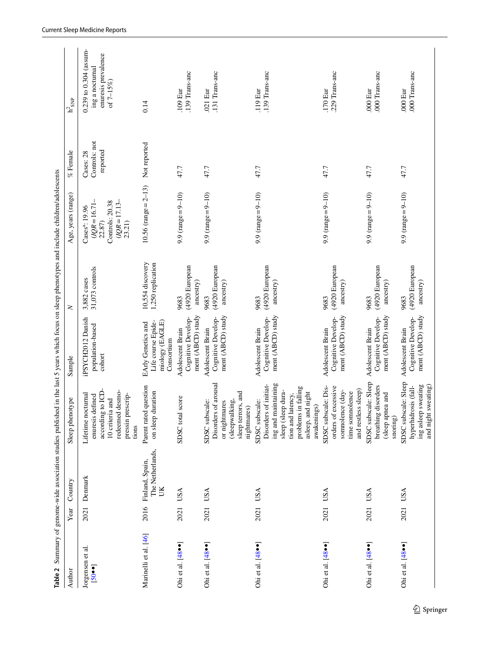<span id="page-6-0"></span>

| Table 2                                   |      |                                                | Summary of genome-wide association studies published in the last 5 years which focus on sleep phenotypes and include children/adolescents                            |                                                                           |                                       |                                                                                                           |                                        |                                                                                   |
|-------------------------------------------|------|------------------------------------------------|----------------------------------------------------------------------------------------------------------------------------------------------------------------------|---------------------------------------------------------------------------|---------------------------------------|-----------------------------------------------------------------------------------------------------------|----------------------------------------|-----------------------------------------------------------------------------------|
| Author                                    | Year | Country                                        | Sleep phenotype                                                                                                                                                      | Sample                                                                    | $\geq$                                | Age, years (range)                                                                                        | % Female                               | $\rm h^2_{~SNP}$                                                                  |
| Jorgensen et al.<br>$\left[ -0.05\right]$ | 2021 | Denmark                                        | according to ICD-<br>redeemed desmo-<br>Lifetime nocturnal<br>pressin prescrip-<br>enuresis defined<br>10 criteria and<br>tions                                      | iPSYCH2012 Danish<br>population-based<br>cohort                           | 31,073 controls<br>3,882 cases        | $(1QR = 16.71 -$<br>$(1QR = 17.13 -$<br>Controls: 20.38<br>Cases <sup>a</sup> : 19.96<br>23.21)<br>22.87) | Controls: not<br>reported<br>Cases: 28 | 0.239 to 0.304 (assum-<br>enuresis prevalence<br>ing a nocturnal<br>of $7 - 15\%$ |
| Marinelli et al. [46]                     |      | The Netherlands,<br>2016 Finland, Spain,<br>UK | Parent rated question<br>duration<br>on sleep                                                                                                                        | miology (EAGLE)<br>Life course Epide-<br>EArly Genetics and<br>Consortium | 10,554 discovery<br>1,250 replication | 10.56 (range = $2-13$ )                                                                                   | Not reported                           | 0.14                                                                              |
| Ohietal. $[48 \cdot \bullet]$             | 2021 | <b>USA</b>                                     | SDSC total score                                                                                                                                                     | ment (ABCD) study<br>Cognitive Develop-<br>Adolescent Brain               | (4920 European<br>ancestry)<br>9683   | $9.9$ (range = 9-10)                                                                                      | 47.7                                   | .139 Trans-anc<br>.109 Eur                                                        |
| Ohiet al. [48 · •]                        |      | 2021 USA                                       | Disorders of arousal<br>sleep terrors, and<br>(sleepwalking,<br>SDSC subscale:<br>or nightmares<br>nightmares)                                                       | ment (ABCD) study<br>Cognitive Develop-<br>Adolescent Brain               | (4920 European<br>ancestry)<br>9683   | 9.9 (range = $9-10$ )                                                                                     | 47.7                                   | .131 Trans-anc<br>.021 Eur                                                        |
| Ohi et al. [48 $\bullet\bullet$ ]         |      | 2021 USA                                       | ing and maintaining<br>Disorders of initiat-<br>problems in falling<br>sleep (sleep dura-<br>asleep, and night<br>tion and latency,<br>SDSC subscale:<br>awakenings) | ment (ABCD) study<br>Cognitive Develop-<br>Adolescent Brain               | (4920 European<br>ancestry)<br>9683   | 9.9 (range = $9-10$ )                                                                                     | 47.7                                   | .139 Trans-anc<br>.119 Eur                                                        |
| Ohi et al. $[48\cdot \bullet]$            |      | 2021 USA                                       | SDSC subscale: Dis-<br>orders of excessive<br>and restless sleep)<br>somnolence (day-<br>time somnolence                                                             | ment (ABCD) study<br>Cognitive Develop-<br>Adolescent Brain               | (4920 European<br>ancestry)<br>9683   | 9.9 (range $= 9 - 10$ )                                                                                   | 47.7                                   | .229 Trans-anc<br>.170 Eur                                                        |
| Ohi et al. $[48 \cdot \bullet]$           |      | 2021 USA                                       | SDSC subscale: Sleep<br>breathing disorders<br>(sleep apnea and<br>$s_{\text{norm}}$                                                                                 | ment (ABCD) study<br>Cognitive Develop-<br>Adolescent Brain               | (4920 European<br>ancestry)<br>9683   | 9.9 (range = $9-10$ )                                                                                     | 47.7                                   | .000 Trans-anc<br>.000 Eur                                                        |
| Ohi et al. $[48 \cdot \bullet]$           | 2021 | USA                                            | SDSC subscale: Sleep<br>ing asleep sweating<br>and night sweating)<br>hyperhidrosis (fall-                                                                           | ment (ABCD) study<br>Cognitive Develop-<br>Adolescent Brain               | (4920 European<br>ancestry)<br>9683   | $9.9$ (range = $9 - 10$ )                                                                                 | 47.7                                   | .000 Trans-anc<br>.000 Eur                                                        |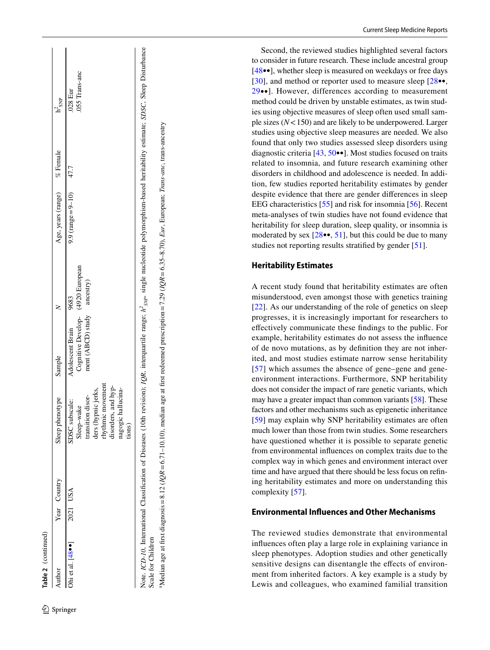| Table 2 (continued)      |              |                                                                                                                                                                                                                       |                                                                            |                   |                       |          |                            |
|--------------------------|--------------|-----------------------------------------------------------------------------------------------------------------------------------------------------------------------------------------------------------------------|----------------------------------------------------------------------------|-------------------|-----------------------|----------|----------------------------|
| Author                   | Year Country | Sleep phenotype                                                                                                                                                                                                       | Sample                                                                     |                   | Age, years (range)    | % Female | $h^2_{SNP}$                |
| Ohi et al. $[48\bullet]$ | 2021 USA     | rhythmic movement<br>disorders, and hyp-<br>nagogic hallucina-<br>ders (hypnic jerks,<br>transition disor-<br>SDSC subscale:<br>Sleep-wake<br>tions)                                                                  | Cognitive Develop- (4920 European<br>ment (ABCD) study<br>Adolescent Brain | ancestry)<br>9683 | 9.9 (range = $9-10$ ) | 47.7     | .055 Trans-anc<br>.028 Eur |
| Scale for Children       |              | Note. ICD-10, International Classification of Diseases (10th revision); IQR, interquartile range; h <sup>2</sup> <sub>syp</sub> , single nucleotide polymorphism-based heritability estimate; SDSC, Sleep Disturbance |                                                                            |                   |                       |          |                            |
|                          |              | "Median age at first diagnosis = 8.12 ( $lQR = 6.71-10.10$ ), median age at first redeemed prescription = 7.29 ( $lQR = 6.35-8.70$ ), Eur, European; Trans-anc. trans-ancestry                                        |                                                                            |                   |                       |          |                            |

Second, the reviewed studies highlighted several factors t[o c](#page-10-8)onsider in future research. These include ancestral group [\[48•](#page-10-8)•], whether sleep is measured on weekdays or fre[e da](#page-9-26)ys [[30\]](#page-9-28), and method or reporter used to measure sleep [[28•](#page-9-26)•, [29•](#page-9-27)•]. However, differences according to measurement method could be driven by unstable estimates, as twin stud ies using objective measures of sleep often used small sam ple sizes ( *N* <150) and are likely to be underpowered. Larger studies using objective sleep measures are needed. We also found that only two studies assessed sleep disorders using diagnostic criteria [\[43](#page-10-3), [50•](#page-10-10)•]. Most studies focused on traits related to insomnia, and future research examining other disorders in childhood and adolescence is needed. In addi tion, few studies reported heritability estimates by gender despite evidence that there are gender diferences in sleep EEG characteristics [\[55\]](#page-10-15) and risk for insomnia [[56](#page-10-16)]. Recent meta-analyses of twin studies have not found evidence that heritability for sleep duration, sleep quality, or insomnia is moderated by sex  $[28\bullet, 51]$  $[28\bullet, 51]$ , but this could be due to many studies not reporting results stratifed by gender [[51\]](#page-10-11).

# **Heritability Estimates**

A recent study found that heritability estimates are often [mis](#page-9-20)understood, even amongst those with genetics training [[22\]](#page-9-20). As our understanding of the role of genetics on sleep progresses, it is increasingly important for researchers to efectively communicate these fndings to the public. For example, heritability estimates do not assess the infuence of de novo mutations, as by defnition they are not inher i[ted](#page-10-17), and most studies estimate narrow sense heritability [[57\]](#page-10-17) which assumes the absence of gene–gene and geneenvironment interactions. Furthermore, SNP heritability does not consider the impact of rare genetic variants, which may have a greater impact than common variants [[58\]](#page-10-18). These factors and other mechanisms such as epigenetic inheritance [[59\]](#page-10-19) may explain why SNP heritability estimates are often much lower than those from twin studies. Some researchers have questioned whether it is possible to separate genetic from environmental infuences on complex traits due to the complex way in which genes and environment interact over time and have argued that there should be less focus on refn ing heritability estimates and more on understanding this complexity [\[57](#page-10-17)].

# **Environmental Infuences and Other Mechanisms**

The reviewed studies demonstrate that environmental infuences often play a large role in explaining variance in sleep phenotypes. Adoption studies and other genetically sensitive designs can disentangle the effects of environment from inherited factors. A key example is a study by Lewis and colleagues, who examined familial transition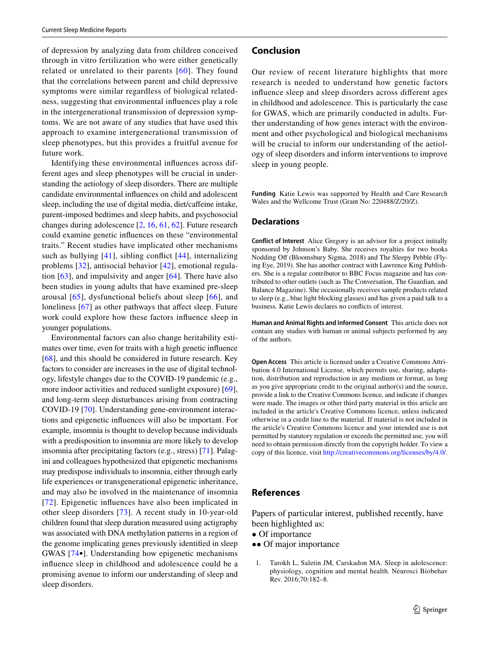of depression by analyzing data from children conceived through in vitro fertilization who were either genetically related or unrelated to their parents [[60](#page-10-20)]. They found that the correlations between parent and child depressive symptoms were similar regardless of biological relatedness, suggesting that environmental infuences play a role in the intergenerational transmission of depression symptoms. We are not aware of any studies that have used this approach to examine intergenerational transmission of sleep phenotypes, but this provides a fruitful avenue for future work.

Identifying these environmental infuences across different ages and sleep phenotypes will be crucial in understanding the aetiology of sleep disorders. There are multiple candidate environmental infuences on child and adolescent sleep, including the use of digital media, diet/caffeine intake, parent-imposed bedtimes and sleep habits, and psychosocial changes during adolescence [[2,](#page-9-13) [16,](#page-9-14) [61,](#page-10-21) [62\]](#page-10-22). Future research could examine genetic infuences on these "environmental traits." Recent studies have implicated other mechanisms such as bullying [[41\]](#page-10-1), sibling confict [\[44\]](#page-10-4), internalizing problems [\[32](#page-9-30)], antisocial behavior [[42](#page-10-2)], emotional regulation [\[63](#page-10-23)], and impulsivity and anger [[64\]](#page-10-24). There have also been studies in young adults that have examined pre-sleep arousal [[65](#page-10-25)], dysfunctional beliefs about sleep [\[66\]](#page-10-26), and loneliness [[67\]](#page-10-27) as other pathways that affect sleep. Future work could explore how these factors infuence sleep in younger populations.

Environmental factors can also change heritability estimates over time, even for traits with a high genetic infuence [\[68\]](#page-10-28), and this should be considered in future research. Key factors to consider are increases in the use of digital technology, lifestyle changes due to the COVID-19 pandemic (e.g., more indoor activities and reduced sunlight exposure) [\[69](#page-10-29)], and long-term sleep disturbances arising from contracting COVID-19 [[70](#page-10-30)]. Understanding gene-environment interactions and epigenetic infuences will also be important. For example, insomnia is thought to develop because individuals with a predisposition to insomnia are more likely to develop insomnia after precipitating factors (e.g., stress) [[71\]](#page-10-31). Palagini and colleagues hypothesized that epigenetic mechanisms may predispose individuals to insomnia, either through early life experiences or transgenerational epigenetic inheritance, and may also be involved in the maintenance of insomnia [[72\]](#page-10-32). Epigenetic infuences have also been implicated in other sleep disorders [\[73\]](#page-10-33). A recent study in 10-year-old children found that sleep duration measured using actigraphy was associated with DNA methylation patterns in a region of the genome implicating genes previously identifed in sleep GWAS [\[74](#page-11-3)•]. Understanding how epigenetic mechanisms infuence sleep in childhood and adolescence could be a promising avenue to inform our understanding of sleep and sleep disorders.

### **Conclusion**

Our review of recent literature highlights that more research is needed to understand how genetic factors infuence sleep and sleep disorders across diferent ages in childhood and adolescence. This is particularly the case for GWAS, which are primarily conducted in adults. Further understanding of how genes interact with the environment and other psychological and biological mechanisms will be crucial to inform our understanding of the aetiology of sleep disorders and inform interventions to improve sleep in young people.

**Funding** Katie Lewis was supported by Health and Care Research Wales and the Wellcome Trust (Grant No: 220488/Z/20/Z).

### **Declarations**

**Conflict of Interest** Alice Gregory is an advisor for a project initially sponsored by Johnson's Baby. She receives royalties for two books Nodding Off (Bloomsbury Sigma, 2018) and The Sleepy Pebble (Flying Eye, 2019). She has another contract with Lawrence King Publishers. She is a regular contributor to BBC Focus magazine and has contributed to other outlets (such as The Conversation, The Guardian, and Balance Magazine). She occasionally receives sample products related to sleep (e.g., blue light blocking glasses) and has given a paid talk to a business. Katie Lewis declares no conficts of interest.

**Human and Animal Rights and Informed Consent** This article does not contain any studies with human or animal subjects performed by any of the authors.

**Open Access** This article is licensed under a Creative Commons Attribution 4.0 International License, which permits use, sharing, adaptation, distribution and reproduction in any medium or format, as long as you give appropriate credit to the original author(s) and the source, provide a link to the Creative Commons licence, and indicate if changes were made. The images or other third party material in this article are included in the article's Creative Commons licence, unless indicated otherwise in a credit line to the material. If material is not included in the article's Creative Commons licence and your intended use is not permitted by statutory regulation or exceeds the permitted use, you will need to obtain permission directly from the copyright holder. To view a copy of this licence, visit<http://creativecommons.org/licenses/by/4.0/>.

# **References**

Papers of particular interest, published recently, have been highlighted as:

- Of importance
- •• Of major importance
- <span id="page-8-0"></span>1. Tarokh L, Saletin JM, Carskadon MA. Sleep in adolescence: physiology, cognition and mental health. Neurosci Biobehav Rev. 2016;70:182–8.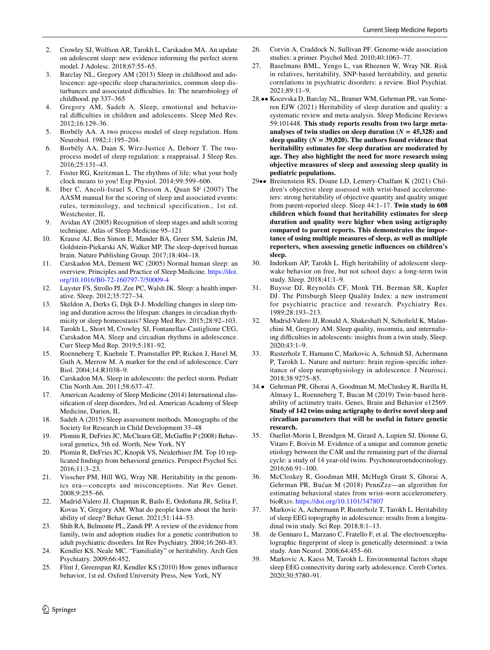- <span id="page-9-13"></span>2. Crowley SJ, Wolfson AR, Tarokh L, Carskadon MA. An update on adolescent sleep: new evidence informing the perfect storm model. J Adolesc. 2018;67:55–65.
- <span id="page-9-0"></span>3. Barclay NL, Gregory AM (2013) Sleep in childhood and adolescence: age-specifc sleep characteristics, common sleep disturbances and associated difficulties. In: The neurobiology of childhood. pp 337–365
- <span id="page-9-1"></span>4. Gregory AM, Sadeh A. Sleep, emotional and behavioral difficulties in children and adolescents. Sleep Med Rev. 2012;16:129–36.
- <span id="page-9-2"></span>5. Borbély AA. A two process model of sleep regulation. Hum Neurobiol. 1982;1:195–204.
- <span id="page-9-3"></span>6. Borbély AA, Daan S, Wirz-Justice A, Deboer T. The twoprocess model of sleep regulation: a reappraisal. J Sleep Res. 2016;25:131–43.
- <span id="page-9-4"></span>7. Foster RG, Kreitzman L. The rhythms of life: what your body clock means to you! Exp Physiol. 2014;99:599–606.
- <span id="page-9-5"></span>8. Iber C, Ancoli-Israel S, Chesson A, Quan SF (2007) The AASM manual for the scoring of sleep and associated events: rules, terminology, and technical specification., 1st ed. Westchester, IL
- <span id="page-9-6"></span>Avidan AY (2005) Recognition of sleep stages and adult scoring technique. Atlas of Sleep Medicine 95–121
- <span id="page-9-7"></span>10. Krause AJ, Ben Simon E, Mander BA, Greer SM, Saletin JM, Goldstein-Piekarski AN, Walker MP. The sleep-deprived human brain. Nature Publishing Group. 2017;18:404–18.
- <span id="page-9-8"></span>11. Carskadon MA, Dement WC (2005) Normal human sleep: an overview. Principles and Practice of Sleep Medicine. [https://doi.](https://doi.org/10.1016/B0-72-160797-7/50009-4) [org/10.1016/B0-72-160797-7/50009-4](https://doi.org/10.1016/B0-72-160797-7/50009-4)
- <span id="page-9-9"></span>12. Luyster FS, Strollo PJ, Zee PC, Walsh JK. Sleep: a health imperative. Sleep. 2012;35:727–34.
- <span id="page-9-10"></span>13. Skeldon A, Derks G, Dijk D-J. Modelling changes in sleep timing and duration across the lifespan: changes in circadian rhythmicity or sleep homeostasis? Sleep Med Rev. 2015;28:92–103.
- <span id="page-9-11"></span>14. Tarokh L, Short M, Crowley SJ, Fontanellaz-Castiglione CEG, Carskadon MA. Sleep and circadian rhythms in adolescence. Curr Sleep Med Rep. 2019;5:181–92.
- <span id="page-9-12"></span>15. Roenneberg T, Kuehnle T, Pramstaller PP, Ricken J, Havel M, Guth A, Merrow M. A marker for the end of adolescence. Curr Biol. 2004;14:R1038–9.
- <span id="page-9-14"></span>16. Carskadon MA. Sleep in adolescents: the perfect storm. Pediatr Clin North Am. 2011;58:637–47.
- <span id="page-9-15"></span>17. American Academy of Sleep Medicine (2014) International classifcation of sleep disorders, 3rd ed. American Academy of Sleep Medicine, Darien, IL
- <span id="page-9-16"></span>18. Sadeh A (2015) Sleep assessment methods. Monographs of the Society for Research in Child Development 33–48
- <span id="page-9-17"></span>19. Plomin R, DeFries JC, McClearn GE, McGufn P (2008) Behavioral genetics, 5th ed. Worth, New York, NY
- <span id="page-9-18"></span>20. Plomin R, DeFries JC, Knopik VS, Neiderhiser JM. Top 10 replicated fndings from behavioral genetics. Perspect Psychol Sci. 2016;11:3–23.
- <span id="page-9-19"></span>21. Visscher PM, Hill WG, Wray NR. Heritability in the genomics era—concepts and misconceptions. Nat Rev Genet. 2008;9:255–66.
- <span id="page-9-20"></span>22. Madrid-Valero JJ, Chapman R, Bailo E, Ordoñana JR, Selita F, Kovas Y, Gregory AM. What do people know about the heritability of sleep? Behav Genet. 2021;51:144–53.
- <span id="page-9-21"></span>23. Shih RA, Belmonte PL, Zandi PP. A review of the evidence from family, twin and adoption studies for a genetic contribution to adult psychiatric disorders. Int Rev Psychiatry. 2004;16:260–83.
- <span id="page-9-22"></span>24. Kendler KS, Neale MC. "Familiality" or heritability. Arch Gen Psychiatry. 2009;66:452.
- <span id="page-9-23"></span>25. Flint J, Greenspan RJ, Kendler KS (2010) How genes infuence behavior, 1st ed. Oxford University Press, New York, NY
- <span id="page-9-24"></span>26. Corvin A, Craddock N, Sullivan PF. Genome-wide association studies: a primer. Psychol Med. 2010;40:1063–77.
- <span id="page-9-25"></span>27. Baselmans BML, Yengo L, van Rheenen W, Wray NR. Risk in relatives, heritability, SNP-based heritability, and genetic correlations in psychiatric disorders: a review. Biol Psychiat. 2021;89:11–9.
- <span id="page-9-26"></span>28.•• Kocevska D, Barclay NL, Bramer WM, Gehrman PR, van Someren EJW (2021) Heritability of sleep duration and quality: a systematic review and meta-analysis. Sleep Medicine Reviews 59:101448. **This study reports results from two large meta**analyses of twin studies on sleep duration  $(N = 45,328)$  and sleep quality  $(N = 39,020)$ . The authors found evidence that **heritability estimates for sleep duration are moderated by age. They also highlight the need for more research using objective measures of sleep and assessing sleep quality in pediatric populations.**
- <span id="page-9-27"></span>29•• Breitenstein RS, Doane LD, Lemery-Chalfant K (2021) Children's objective sleep assessed with wrist-based accelerometers: strong heritability of objective quantity and quality unique from parent-reported sleep. Sleep 44:1–17. **Twin study in 608 children which found that heritability estimates for sleep duration and quality were higher when using actigraphy compared to parent reports. This demonstrates the importance of using multiple measures of sleep, as well as multiple reporters, when assessing genetic infuences on children's sleep.**
- <span id="page-9-28"></span>30. Inderkum AP, Tarokh L. High heritability of adolescent sleepwake behavior on free, but not school days: a long-term twin study. Sleep. 2018;41:1–9.
- <span id="page-9-29"></span>31. Buysse DJ, Reynolds CF, Monk TH, Berman SR, Kupfer DJ. The Pittsburgh Sleep Quality Index: a new instrument for psychiatric practice and research. Psychiatry Res. 1989;28:193–213.
- <span id="page-9-30"></span>32. Madrid-Valero JJ, Ronald A, Shakeshaft N, Schofeld K, Malanchini M, Gregory AM. Sleep quality, insomnia, and internalizing difficulties in adolescents: insights from a twin study. Sleep. 2020;43:1–9.
- <span id="page-9-31"></span>33. Rusterholz T, Hamann C, Markovic A, Schmidt SJ, Achermann P, Tarokh L. Nature and nurture: brain region-specifc inheritance of sleep neurophysiology in adolescence. J Neurosci. 2018;38:9275–85.
- <span id="page-9-32"></span>34.• Gehrman PR, Ghorai A, Goodman M, McCluskey R, Barilla H, Almasy L, Roenneberg T, Bucan M (2019) Twin‐based heritability of actimetry traits. Genes, Brain and Behavior e12569. **Study of 142 twins using actigraphy to derive novel sleep and circadian parameters that will be useful in future genetic research.**
- <span id="page-9-33"></span>35. Ouellet-Morin I, Brendgen M, Girard A, Lupien SJ, Dionne G, Vitaro F, Boivin M. Evidence of a unique and common genetic etiology between the CAR and the remaining part of the diurnal cycle: a study of 14 year-old twins. Psychoneuroendocrinology. 2016;66:91–100.
- <span id="page-9-34"></span>36. McCloskey R, Goodman MH, McHugh Grant S, Ghorai A, Gehrman PR, Bućan M (2018) PennZzz—an algorithm for estimating behavioral states from wrist-worn accelerometery. bioRxiv.<https://doi.org/10.1101/347807>
- <span id="page-9-35"></span>37. Markovic A, Achermann P, Rusterholz T, Tarokh L. Heritability of sleep EEG topography in adolescence: results from a longitudinal twin study. Sci Rep. 2018;8:1–13.
- <span id="page-9-36"></span>38. de Gennaro L, Marzano C, Fratello F, et al. The electroencephalographic fngerprint of sleep is genetically determined: a twin study. Ann Neurol. 2008;64:455–60.
- <span id="page-9-37"></span>39. Markovic A, Kaess M, Tarokh L. Environmental factors shape sleep EEG connectivity during early adolescence. Cereb Cortex. 2020;30:5780–91.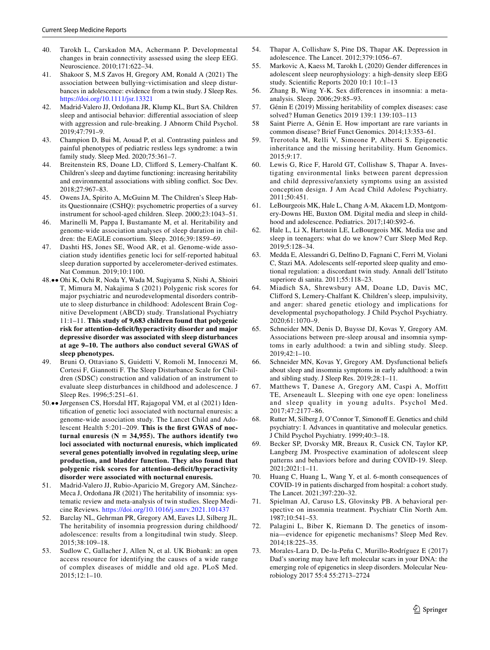- <span id="page-10-0"></span>40. Tarokh L, Carskadon MA, Achermann P. Developmental changes in brain connectivity assessed using the sleep EEG. Neuroscience. 2010;171:622–34.
- <span id="page-10-1"></span>41. Shakoor S, M.S Zavos H, Gregory AM, Ronald A (2021) The association between bullying‐victimisation and sleep disturbances in adolescence: evidence from a twin study. J Sleep Res. <https://doi.org/10.1111/jsr.13321>
- <span id="page-10-2"></span>42. Madrid-Valero JJ, Ordoñana JR, Klump KL, Burt SA. Children sleep and antisocial behavior: diferential association of sleep with aggression and rule-breaking. J Abnorm Child Psychol. 2019;47:791–9.
- <span id="page-10-3"></span>43. Champion D, Bui M, Aouad P, et al. Contrasting painless and painful phenotypes of pediatric restless legs syndrome: a twin family study. Sleep Med. 2020;75:361–7.
- <span id="page-10-4"></span>44. Breitenstein RS, Doane LD, Cliford S, Lemery-Chalfant K. Children's sleep and daytime functioning: increasing heritability and environmental associations with sibling confict. Soc Dev. 2018;27:967–83.
- <span id="page-10-5"></span>45. Owens JA, Spirito A, McGuinn M. The Children's Sleep Habits Questionnaire (CSHQ): psychometric properties of a survey instrument for school-aged children. Sleep. 2000;23:1043–51.
- <span id="page-10-6"></span>Marinelli M, Pappa I, Bustamante M, et al. Heritability and genome-wide association analyses of sleep duration in children: the EAGLE consortium. Sleep. 2016;39:1859–69.
- <span id="page-10-7"></span>47. Dashti HS, Jones SE, Wood AR, et al. Genome-wide association study identifes genetic loci for self-reported habitual sleep duration supported by accelerometer-derived estimates. Nat Commun. 2019;10:1100.
- <span id="page-10-8"></span>48.•• Ohi K, Ochi R, Noda Y, Wada M, Sugiyama S, Nishi A, Shioiri T, Mimura M, Nakajima S (2021) Polygenic risk scores for major psychiatric and neurodevelopmental disorders contribute to sleep disturbance in childhood: Adolescent Brain Cognitive Development (ABCD) study. Translational Psychiatry 11:1–11. **This study of 9,683 children found that polygenic risk for attention-defcit/hyperactivity disorder and major depressive disorder was associated with sleep disturbances at age 9–10. The authors also conduct several GWAS of sleep phenotypes.**
- <span id="page-10-9"></span>49. Bruni O, Ottaviano S, Guidetti V, Romoli M, Innocenzi M, Cortesi F, Giannotti F. The Sleep Disturbance Scale for Children (SDSC) construction and validation of an instrument to evaluate sleep disturbances in childhood and adolescence. J Sleep Res. 1996;5:251–61.
- <span id="page-10-10"></span>50.•• Jørgensen CS, Horsdal HT, Rajagopal VM, et al (2021) Identifcation of genetic loci associated with nocturnal enuresis: a genome-wide association study. The Lancet Child and Adolescent Health 5:201–209. **This is the frst GWAS of noc**turnal enuresis  $(N = 34,955)$ . The authors identify two **loci associated with nocturnal enuresis, which implicated several genes potentially involved in regulating sleep, urine production, and bladder function. They also found that polygenic risk scores for attention-defcit/hyperactivity disorder were associated with nocturnal enuresis.**
- <span id="page-10-11"></span>51. Madrid-Valero JJ, Rubio-Aparicio M, Gregory AM, Sánchez-Meca J, Ordoñana JR (2021) The heritability of insomnia: systematic review and meta-analysis of twin studies. Sleep Medicine Reviews.<https://doi.org/10.1016/j.smrv.2021.101437>
- <span id="page-10-12"></span>52. Barclay NL, Gehrman PR, Gregory AM, Eaves LJ, Silberg JL. The heritability of insomnia progression during childhood/ adolescence: results from a longitudinal twin study. Sleep. 2015;38:109–18.
- <span id="page-10-13"></span>53. Sudlow C, Gallacher J, Allen N, et al. UK Biobank: an open access resource for identifying the causes of a wide range of complex diseases of middle and old age. PLoS Med. 2015;12:1–10.
- <span id="page-10-14"></span>54. Thapar A, Collishaw S, Pine DS, Thapar AK. Depression in adolescence. The Lancet. 2012;379:1056–67.
- <span id="page-10-15"></span>55. Markovic A, Kaess M, Tarokh L (2020) Gender diferences in adolescent sleep neurophysiology: a high-density sleep EEG study. Scientifc Reports 2020 10:1 10:1–13
- <span id="page-10-16"></span>56. Zhang B, Wing Y-K. Sex diferences in insomnia: a metaanalysis. Sleep. 2006;29:85–93.
- <span id="page-10-17"></span>57. Génin E (2019) Missing heritability of complex diseases: case solved? Human Genetics 2019 139:1 139:103–113
- <span id="page-10-18"></span>58 Saint Pierre A, Génin E. How important are rare variants in common disease? Brief Funct Genomics. 2014;13:353–61.
- <span id="page-10-19"></span>59. Trerotola M, Relli V, Simeone P, Alberti S. Epigenetic inheritance and the missing heritability. Hum Genomics.  $2015:9:17$ .
- <span id="page-10-20"></span>60. Lewis G, Rice F, Harold GT, Collishaw S, Thapar A. Investigating environmental links between parent depression and child depressive/anxiety symptoms using an assisted conception design. J Am Acad Child Adolesc Psychiatry. 2011;50:451.
- <span id="page-10-21"></span>61. LeBourgeois MK, Hale L, Chang A-M, Akacem LD, Montgomery-Downs HE, Buxton OM. Digital media and sleep in childhood and adolescence. Pediatrics. 2017;140:S92–6.
- <span id="page-10-22"></span>62. Hale L, Li X, Hartstein LE, LeBourgeois MK. Media use and sleep in teenagers: what do we know? Curr Sleep Med Rep. 2019;5:128–34.
- <span id="page-10-23"></span>63. Medda E, Alessandri G, Delfno D, Fagnani C, Ferri M, Violani C, Stazi MA. Adolescents self-reported sleep quality and emotional regulation: a discordant twin study. Annali dell'Istituto superiore di sanita. 2011;55:118–23.
- <span id="page-10-24"></span>64. Miadich SA, Shrewsbury AM, Doane LD, Davis MC, Cliford S, Lemery-Chalfant K. Children's sleep, impulsivity, and anger: shared genetic etiology and implications for developmental psychopathology. J Child Psychol Psychiatry. 2020;61:1070–9.
- <span id="page-10-25"></span>65. Schneider MN, Denis D, Buysse DJ, Kovas Y, Gregory AM. Associations between pre-sleep arousal and insomnia symptoms in early adulthood: a twin and sibling study. Sleep. 2019;42:1–10.
- <span id="page-10-26"></span>66. Schneider MN, Kovas Y, Gregory AM. Dysfunctional beliefs about sleep and insomnia symptoms in early adulthood: a twin and sibling study. J Sleep Res. 2019;28:1–11.
- <span id="page-10-27"></span>67. Matthews T, Danese A, Gregory AM, Caspi A, Moffitt TE, Arseneault L. Sleeping with one eye open: loneliness and sleep quality in young adults. Psychol Med. 2017;47:2177–86.
- <span id="page-10-28"></span>68. Rutter M, Silberg J, O'Connor T, Simonoff E. Genetics and child psychiatry: I. Advances in quantitative and molecular genetics. J Child Psychol Psychiatry. 1999;40:3–18.
- <span id="page-10-29"></span>Becker SP, Dvorsky MR, Breaux R, Cusick CN, Taylor KP, Langberg JM. Prospective examination of adolescent sleep patterns and behaviors before and during COVID-19. Sleep. 2021;2021:1–11.
- <span id="page-10-30"></span>70. Huang C, Huang L, Wang Y, et al. 6-month consequences of COVID-19 in patients discharged from hospital: a cohort study. The Lancet. 2021;397:220–32.
- <span id="page-10-31"></span>71. Spielman AJ, Caruso LS, Glovinsky PB. A behavioral perspective on insomnia treatment. Psychiatr Clin North Am. 1987;10:541–53.
- <span id="page-10-32"></span>72. Palagini L, Biber K, Riemann D. The genetics of insomnia—evidence for epigenetic mechanisms? Sleep Med Rev. 2014;18:225–35.
- <span id="page-10-33"></span>73. Morales-Lara D, De-la-Peña C, Murillo-Rodríguez E (2017) Dad's snoring may have left molecular scars in your DNA: the emerging role of epigenetics in sleep disorders. Molecular Neurobiology 2017 55:4 55:2713–2724